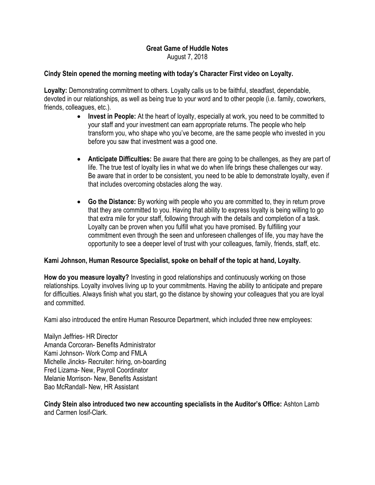## Great Game of Huddle Notes August 7, 2018

## Cindy Stein opened the morning meeting with today's Character First video on Loyalty.

Loyalty: Demonstrating commitment to others. Loyalty calls us to be faithful, steadfast, dependable, devoted in our relationships, as well as being true to your word and to other people (i.e. family, coworkers, friends, colleagues, etc.).

- Invest in People: At the heart of loyalty, especially at work, you need to be committed to your staff and your investment can earn appropriate returns. The people who help transform you, who shape who you've become, are the same people who invested in you before you saw that investment was a good one.
- Anticipate Difficulties: Be aware that there are going to be challenges, as they are part of life. The true test of loyalty lies in what we do when life brings these challenges our way. Be aware that in order to be consistent, you need to be able to demonstrate loyalty, even if that includes overcoming obstacles along the way.
- Go the Distance: By working with people who you are committed to, they in return prove that they are committed to you. Having that ability to express loyalty is being willing to go that extra mile for your staff, following through with the details and completion of a task. Loyalty can be proven when you fulfill what you have promised. By fulfilling your commitment even through the seen and unforeseen challenges of life, you may have the opportunity to see a deeper level of trust with your colleagues, family, friends, staff, etc.

## Kami Johnson, Human Resource Specialist, spoke on behalf of the topic at hand, Loyalty.

How do you measure loyalty? Investing in good relationships and continuously working on those relationships. Loyalty involves living up to your commitments. Having the ability to anticipate and prepare for difficulties. Always finish what you start, go the distance by showing your colleagues that you are loyal and committed.

Kami also introduced the entire Human Resource Department, which included three new employees:

Mailyn Jeffries- HR Director Amanda Corcoran- Benefits Administrator Kami Johnson- Work Comp and FMLA Michelle Jincks- Recruiter: hiring, on-boarding Fred Lizama- New, Payroll Coordinator Melanie Morrison- New, Benefits Assistant Bao McRandall- New, HR Assistant

Cindy Stein also introduced two new accounting specialists in the Auditor's Office: Ashton Lamb and Carmen Iosif-Clark.